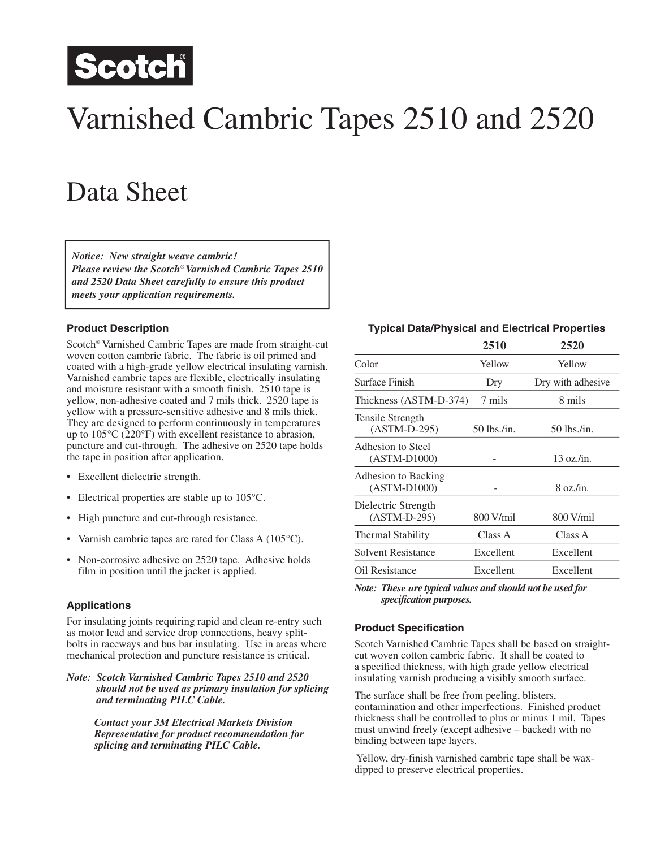

# Varnished Cambric Tapes 2510 and 2520

## Data Sheet

*Notice: New straight weave cambric! Please review the Scotch*® *Varnished Cambric Tapes 2510 and 2520 Data Sheet carefully to ensure this product meets your application requirements.*

#### **Product Description**

Scotch® Varnished Cambric Tapes are made from straight-cut woven cotton cambric fabric. The fabric is oil primed and coated with a high-grade yellow electrical insulating varnish. Varnished cambric tapes are flexible, electrically insulating and moisture resistant with a smooth finish. 2510 tape is yellow, non-adhesive coated and 7 mils thick. 2520 tape is yellow with a pressure-sensitive adhesive and 8 mils thick. They are designed to perform continuously in temperatures up to 105°C (220°F) with excellent resistance to abrasion, puncture and cut-through. The adhesive on 2520 tape holds the tape in position after application.

- Excellent dielectric strength.
- Electrical properties are stable up to 105 °C.
- High puncture and cut-through resistance.
- Varnish cambric tapes are rated for Class A (105<sup>o</sup>C).
- Non-corrosive adhesive on 2520 tape. Adhesive holds film in position until the jacket is applied.

#### **Applications**

For insulating joints requiring rapid and clean re-entry such as motor lead and service drop connections, heavy splitbolts in raceways and bus bar insulating. Use in areas where mechanical protection and puncture resistance is critical.

*Note: Scotch Varnished Cambric Tapes 2510 and 2520 should not be used as primary insulation for splicing and terminating PILC Cable.*

> *Contact your 3M Electrical Markets Division Representative for product recommendation for splicing and terminating PILC Cable.*

#### **Typical Data/Physical and Electrical Properties**

|                                       | 2510        | 2520                |
|---------------------------------------|-------------|---------------------|
| Color                                 | Yellow      | Yellow              |
| Surface Finish                        | Dry         | Dry with adhesive   |
| Thickness (ASTM-D-374)                | 7 mils      | 8 mils              |
| Tensile Strength<br>$(ASTM-D-295)$    | 50 lbs./in. | 50 lbs./in.         |
| Adhesion to Steel<br>$(ASTM-D1000)$   |             | $13 \text{ oz/in.}$ |
| Adhesion to Backing<br>$(ASTM-D1000)$ |             | $8$ oz./in.         |
| Dielectric Strength<br>$(ASTM-D-295)$ | 800 V/mil   | 800 V/mil           |
| <b>Thermal Stability</b>              | Class A     | Class A             |
| <b>Solvent Resistance</b>             | Excellent   | Excellent           |
| Oil Resistance                        | Excellent   | Excellent           |

*Note: These are typical values and should not be used for pical values and should not be used for specification purposes.* 

#### **Product Specification**

Scotch Varnished Cambric Tapes shall be based on straightcut woven cotton cambric fabric. It shall be coated to a specified thickness, with high grade yellow electrical insulating varnish producing a visibly smooth surface.

The surface shall be free from peeling, blisters, contamination and other imperfections. Finished product thickness shall be controlled to plus or minus 1 mil. Tapes must unwind freely (except adhesive – backed) with no binding between tape layers.

 Yellow, dry-finish varnished cambric tape shall be waxdipped to preserve electrical properties.